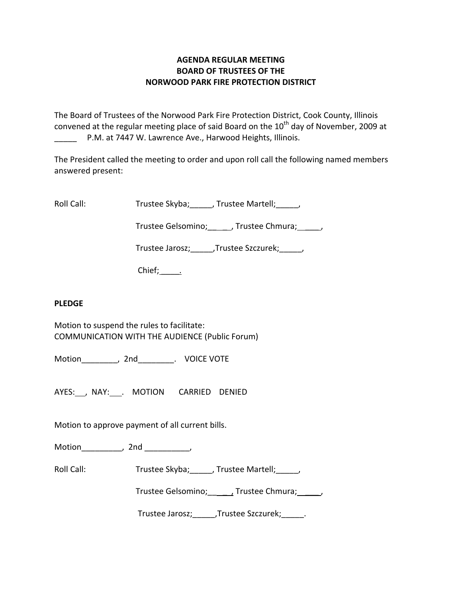# **AGENDA REGULAR MEETING BOARD OF TRUSTEES OF THE NORWOOD PARK FIRE PROTECTION DISTRICT**

The Board of Trustees of the Norwood Park Fire Protection District, Cook County, Illinois convened at the regular meeting place of said Board on the  $10<sup>th</sup>$  day of November, 2009 at P.M. at 7447 W. Lawrence Ave., Harwood Heights, Illinois.

The President called the meeting to order and upon roll call the following named members answered present:

Roll Call: Trustee Skyba; J. Trustee Martell; Trustee Martell;

Trustee Gelsomino; \_\_\_\_\_\_, Trustee Chmura; \_\_\_\_\_,

Trustee Jarosz;\_\_\_\_\_,Trustee Szczurek;\_\_\_\_\_,

Chief; .

# **PLEDGE**

Motion to suspend the rules to facilitate: COMMUNICATION WITH THE AUDIENCE (Public Forum)

Motion\_\_\_\_\_\_\_\_, 2nd\_\_\_\_\_\_\_\_. VOICE VOTE

AYES: , NAY: . MOTION CARRIED DENIED

Motion to approve payment of all current bills.

Motion the motion of the motion of the motion of the motion of the motion of the motion of the motion of the m<br>Second motion of the motion of the motion of the motion of the motion of the motion of the motion of the motio<br>

Roll Call: Trustee Skyba; \_\_\_\_\_, Trustee Martell; \_\_\_\_,

Trustee Gelsomino; \_\_\_\_\_, Trustee Chmura; \_\_\_\_\_,

Trustee Jarosz;\_\_\_\_\_,Trustee Szczurek;\_\_\_\_\_.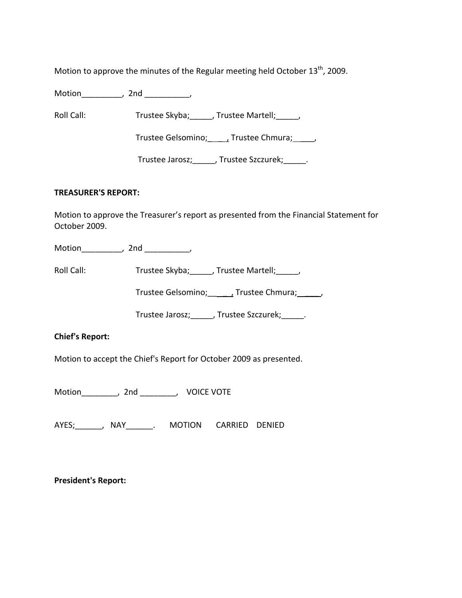Motion to approve the minutes of the Regular meeting held October  $13<sup>th</sup>$ , 2009.

Motion\_\_\_\_\_\_\_\_\_, 2nd \_\_\_\_\_\_\_\_\_\_,

Roll Call: Trustee Skyba; \_\_\_\_, Trustee Martell; \_\_\_\_,

Trustee Gelsomino; \_\_\_\_\_, Trustee Chmura; \_\_\_\_\_,

Trustee Jarosz;\_\_\_\_\_, Trustee Szczurek;\_\_\_\_\_.

### **TREASURER'S REPORT:**

Motion to approve the Treasurer's report as presented from the Financial Statement for October 2009.

Motion\_\_\_\_\_\_\_\_\_, 2nd \_\_\_\_\_\_\_\_\_\_,

Roll Call: Trustee Skyba; Trustee Martell; Trustee Martell;

Trustee Gelsomino; \_\_\_\_\_\_\_, Trustee Chmura; \_\_\_\_\_\_,

Trustee Jarosz;\_\_\_\_\_, Trustee Szczurek;\_\_\_\_\_.

## **Chief's Report:**

Motion to accept the Chief's Report for October 2009 as presented.

Motion\_\_\_\_\_\_\_\_, 2nd \_\_\_\_\_\_\_\_, VOICE VOTE

AYES;\_\_\_\_\_\_, NAY\_\_\_\_\_\_. MOTION CARRIED DENIED

**President's Report:**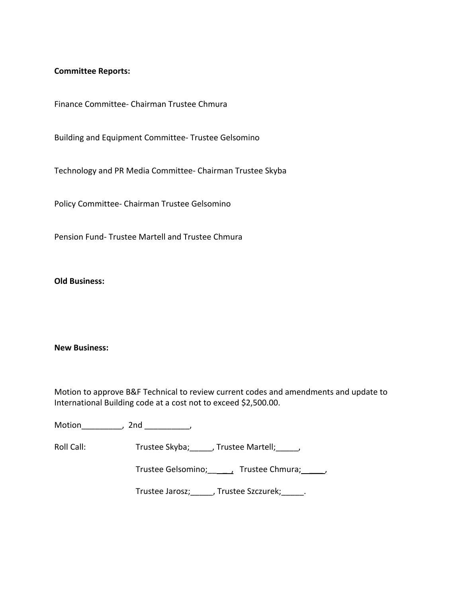## **Committee Reports:**

Finance Committee‐ Chairman Trustee Chmura

Building and Equipment Committee‐ Trustee Gelsomino

Technology and PR Media Committee‐ Chairman Trustee Skyba

Policy Committee‐ Chairman Trustee Gelsomino

Pension Fund‐ Trustee Martell and Trustee Chmura

**Old Business:**

#### **New Business:**

Motion to approve B&F Technical to review current codes and amendments and update to International Building code at a cost not to exceed \$2,500.00.

Motion\_\_\_\_\_\_\_\_\_, 2nd \_\_\_\_\_\_\_\_\_\_,

Roll Call: Trustee Skyba; \_\_\_\_, Trustee Martell; \_\_\_\_,

Trustee Gelsomino; \_\_\_\_, Trustee Chmura; \_\_\_\_\_,

Trustee Jarosz;\_\_\_\_\_, Trustee Szczurek;\_\_\_\_\_.